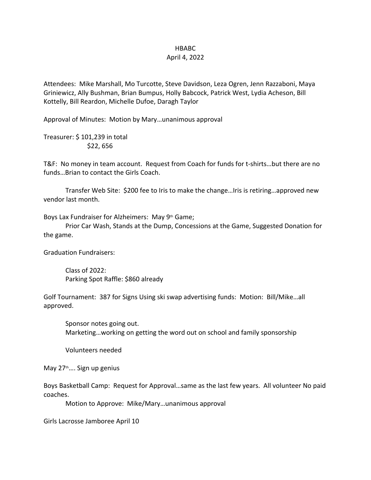## HBABC

## April 4, 2022

Attendees: Mike Marshall, Mo Turcotte, Steve Davidson, Leza Ogren, Jenn Razzaboni, Maya Griniewicz, Ally Bushman, Brian Bumpus, Holly Babcock, Patrick West, Lydia Acheson, Bill Kottelly, Bill Reardon, Michelle Dufoe, Daragh Taylor

Approval of Minutes: Motion by Mary…unanimous approval

Treasurer: \$ 101,239 in total \$22, 656

T&F: No money in team account. Request from Coach for funds for t-shirts…but there are no funds…Brian to contact the Girls Coach.

Transfer Web Site: \$200 fee to Iris to make the change…Iris is retiring…approved new vendor last month.

Boys Lax Fundraiser for Alzheimers: May 9<sup>th</sup> Game;

Prior Car Wash, Stands at the Dump, Concessions at the Game, Suggested Donation for the game.

Graduation Fundraisers:

Class of 2022: Parking Spot Raffle: \$860 already

Golf Tournament: 387 for Signs Using ski swap advertising funds: Motion: Bill/Mike…all approved.

Sponsor notes going out. Marketing…working on getting the word out on school and family sponsorship

Volunteers needed

May 27<sup>th</sup>.... Sign up genius

Boys Basketball Camp: Request for Approval…same as the last few years. All volunteer No paid coaches.

Motion to Approve: Mike/Mary…unanimous approval

Girls Lacrosse Jamboree April 10